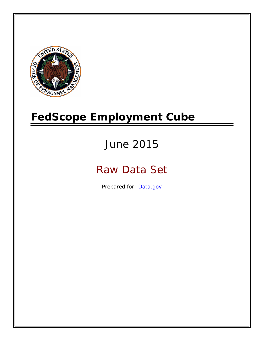

# **FedScope Employment Cube**

# June 2015

# Raw Data Set

Prepared for: [Data.gov](http://www.data.gov/)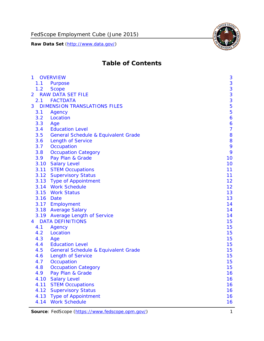

# **Table of Contents**

| $\mathbf{1}$   |      | <b>OVERVIEW</b>                                | 3              |
|----------------|------|------------------------------------------------|----------------|
|                | 1.1  | <b>Purpose</b>                                 | 3              |
|                | 1.2  | <b>Scope</b>                                   | 3              |
| $\overline{2}$ |      | <b>RAW DATA SET FILE</b>                       | 3              |
|                |      | 2.1 FACTDATA                                   | 3              |
| 3              |      | <b>DIMENSION TRANSLATIONS FILES</b>            | 5              |
|                | 3.1  | Agency                                         | 5              |
|                | 3.2  | Location                                       | 6              |
|                | 3.3  | Age                                            | 6              |
|                | 3.4  | <b>Education Level</b>                         | $\overline{7}$ |
|                | 3.5  | <b>General Schedule &amp; Equivalent Grade</b> | 8              |
|                | 3.6  | <b>Length of Service</b>                       | 8              |
|                | 3.7  | Occupation                                     | 9              |
|                | 3.8  | <b>Occupation Category</b>                     | 9              |
|                | 3.9  | Pay Plan & Grade                               | 10             |
|                | 3.10 | <b>Salary Level</b>                            | 10             |
|                |      | 3.11 STEM Occupations                          | 11             |
|                |      | 3.12 Supervisory Status                        | 11             |
|                |      | 3.13 Type of Appointment                       | 12             |
|                |      | 3.14 Work Schedule                             | 12             |
|                | 3.15 | <b>Work Status</b>                             | 13             |
|                |      | 3.16 Date                                      | 13             |
|                |      | 3.17 Employment                                | 14             |
|                |      | 3.18 Average Salary                            | 14             |
|                |      | 3.19 Average Length of Service                 | 14             |
| $\overline{4}$ |      | <b>DATA DEFINITIONS</b>                        | 15             |
|                | 4.1  | Agency                                         | 15             |
|                | 4.2  | Location                                       | 15             |
|                | 4.3  | Age                                            | 15             |
|                | 4.4  | <b>Education Level</b>                         | 15             |
|                | 4.5  | <b>General Schedule &amp; Equivalent Grade</b> | 15             |
|                | 4.6  | <b>Length of Service</b>                       | 15             |
|                | 4.7  | Occupation                                     | 15             |
|                | 4.8  | <b>Occupation Category</b>                     | 15             |
|                | 4.9  | Pay Plan & Grade                               | 16             |
|                | 4.10 | <b>Salary Level</b>                            | 16             |
|                | 4.11 | <b>STEM Occupations</b>                        | 16             |
|                | 4.12 | <b>Supervisory Status</b>                      | 16             |
|                | 4.13 | <b>Type of Appointment</b>                     | 16             |
|                | 4.14 | <b>Work Schedule</b>                           | 16             |

Source: FedScope (https://www.fedscope.opm.gov/) 1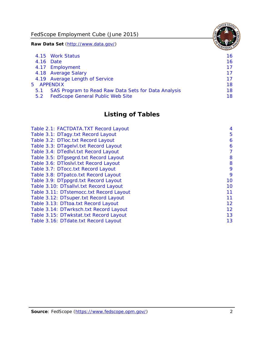FedScope Employment Cube (June 2015)

**Raw Data Set** (http://www.data.gov/)

|     | 4.15 Work Status                                    | 16 |
|-----|-----------------------------------------------------|----|
|     | 4.16 Date                                           | 16 |
|     | 4.17 Employment                                     | 17 |
|     | 4.18 Average Salary                                 | 17 |
|     | 4.19 Average Length of Service                      | 17 |
|     | 5 APPENDIX                                          | 18 |
| 5.1 | SAS Program to Read Raw Data Sets for Data Analysis | 18 |
| 5.2 | <b>FedScope General Public Web Site</b>             | 18 |

# **Listing of Tables**

| Table 2.1: FACTDATA.TXT Record Layout   | 4  |
|-----------------------------------------|----|
| Table 3.1: DTagy.txt Record Layout      | 5  |
| Table 3.2: DTloc.txt Record Layout      | 6  |
| Table 3.3: DTagelvl.txt Record Layout   | 6  |
| Table 3.4: DTedlvl.txt Record Layout    | 7  |
| Table 3.5: DTgsegrd.txt Record Layout   | 8  |
| Table 3.6: DTIoslyl.txt Record Layout   | 8  |
| Table 3.7: DTocc.txt Record Layout      | 9  |
| Table 3.8: DTpatco.txt Record Layout    | 9  |
| Table 3.9: DTppgrd.txt Record Layout    | 10 |
| Table 3.10: DTsallvl.txt Record Layout  | 10 |
| Table 3.11: DTstemocc.txt Record Layout | 11 |
| Table 3.12: DTsuper.txt Record Layout   | 11 |
| Table 3.13: DTtoa.txt Record Layout     | 12 |
| Table 3.14: DTwrksch.txt Record Layout  | 12 |
| Table 3.15: DTwkstat.txt Record Layout  | 13 |
| Table 3.16: DTdate.txt Record Layout    | 13 |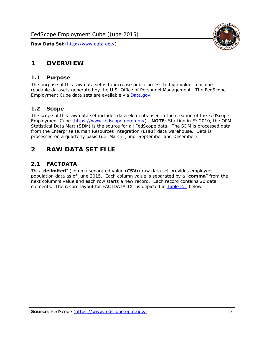

# <span id="page-3-0"></span>**1 OVERVIEW**

#### *1.1 Purpose*

<span id="page-3-1"></span>The purpose of this raw data set is to increase public access to high value, machine readable datasets generated by the U.S. Office of Personnel Management. The FedScope Employment Cube data sets are available via [Data.gov](http://www.data.gov/).

#### <span id="page-3-2"></span>*1.2 Scope*

The scope of this raw data set includes data elements used in the creation of the FedScope Employment Cube [\(https://www.fedscope.opm.gov/\)](https://www.fedscope.opm.gov/). **NOTE**: Starting in FY 2010, the OPM Statistical Data Mart (SDM) is the source for all FedScope data. The SDM is processed data from the Enterprise Human Resources Integration (EHRI) data warehouse. Data is processed on a quarterly basis (i.e. March, June, September and December).

# <span id="page-3-3"></span>**2 RAW DATA SET FILE**

# <span id="page-3-4"></span>*2.1 FACTDATA*

This "**delimited**" (comma separated value (**CSV**)) raw data set provides employee population data as of June 2015. Each column value is separated by a "**comma**" from the next column's value and each row starts a new record. Each record contains 20 data elements. The record layout for FACTDATA.TXT is depicted in [Table 2.1](#page-4-1) below: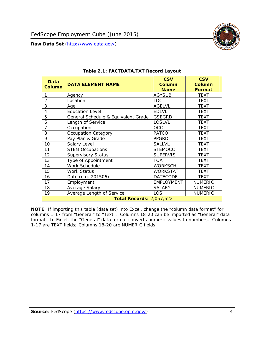<span id="page-4-1"></span><span id="page-4-0"></span>

**NOTE**: If importing this table (data set) into Excel, change the "column data format" for columns 1-17 from "General" to "Text". Columns 18-20 can be imported as "General" data format. In Excel, the "General" data format converts numeric values to numbers. Columns 1-17 are TEXT fields; Columns 18-20 are NUMERIC fields.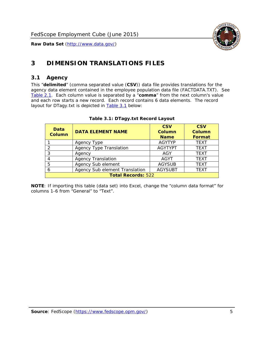

# <span id="page-5-0"></span>**3 DIMENSION TRANSLATIONS FILES**

#### <span id="page-5-1"></span>*3.1 Agency*

<span id="page-5-3"></span><span id="page-5-2"></span>This "**delimited**" (comma separated value (**CSV**)) data file provides translations for the agency data element contained in the employee population data file (FACTDATA.TXT). See [Table 2.1.](#page-4-1) Each column value is separated by a "**comma**" from the next column's value and each row starts a new record. Each record contains 6 data elements. The record layout for DTagy.txt is depicted in **Table 3.1** below:

| Data<br>Column            | <b>DATA ELEMENT NAME</b>       | <b>CSV</b><br><b>Column</b><br><b>Name</b> | <b>CSV</b><br>Column<br><b>Format</b> |
|---------------------------|--------------------------------|--------------------------------------------|---------------------------------------|
|                           | Agency Type                    | <b>AGYTYP</b>                              | <b>TEXT</b>                           |
| 2                         | <b>Agency Type Translation</b> | <b>AGYTYPT</b>                             | <b>TEXT</b>                           |
| 3                         | Agency                         | AGY                                        | <b>TEXT</b>                           |
|                           | <b>Agency Translation</b>      | <b>AGYT</b>                                | <b>TEXT</b>                           |
| -5                        | Agency Sub element             | <b>AGYSUB</b>                              | <b>TEXT</b>                           |
|                           | Agency Sub element Translation | <b>AGYSUBT</b>                             | <b>TEXT</b>                           |
| <b>Total Records: 522</b> |                                |                                            |                                       |

#### **Table 3.1: DTagy.txt Record Layout**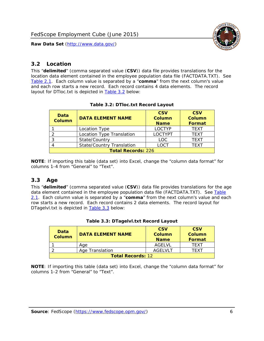

#### <span id="page-6-0"></span>*3.2 Location*

<span id="page-6-4"></span><span id="page-6-2"></span>This "**delimited**" (comma separated value (**CSV**)) data file provides translations for the location data element contained in the employee population data file (FACTDATA.TXT). See [Table 2.1.](#page-4-1) Each column value is separated by a "**comma**" from the next column's value and each row starts a new record. Each record contains 4 data elements. The record layout for DTloc.txt is depicted in [Table 3.2](#page-6-4) below:

| Data<br><b>Column</b>     | <b>DATA ELEMENT NAME</b>         | <b>CSV</b><br>Column<br><b>Name</b> | <b>CSV</b><br><b>Column</b><br><b>Format</b> |
|---------------------------|----------------------------------|-------------------------------------|----------------------------------------------|
|                           | Location Type                    | <b>LOCTYP</b>                       | <b>TEXT</b>                                  |
|                           | Location Type Translation        | <b>LOCTYPT</b>                      | <b>TEXT</b>                                  |
| ົ                         | State/Country                    | <b>LOC</b>                          | <b>TFXT</b>                                  |
|                           | <b>State/Country Translation</b> | LOCT                                | <b>TFXT</b>                                  |
| <b>Total Records: 226</b> |                                  |                                     |                                              |

#### **Table 3.2: DTloc.txt Record Layout**

**NOTE**: If importing this table (data set) into Excel, change the "column data format" for columns 1-4 from "General" to "Text".

#### <span id="page-6-1"></span>*3.3 Age*

<span id="page-6-5"></span><span id="page-6-3"></span>This "**delimited**" (comma separated value (**CSV**)) data file provides translations for the age data element contained in the employee population data file (FACTDATA.TXT). See [Table](#page-4-1) [2.1](#page-4-1). Each column value is separated by a "**comma**" from the next column's value and each row starts a new record. Each record contains 2 data elements. The record layout for DTagelvl.txt is depicted in **[Table 3.3](#page-6-5)** below:

| Data<br><b>Column</b>    | <b>DATA ELEMENT NAME</b> | <b>CSV</b><br>Column<br><b>Name</b> | <b>CSV</b><br>Column<br>Format |
|--------------------------|--------------------------|-------------------------------------|--------------------------------|
|                          | Aae                      | AGFI VI                             | TFXT                           |
|                          | Age Translation          | AGFI VI T                           | TFXT                           |
| <b>Total Records: 12</b> |                          |                                     |                                |

#### **Table 3.3: DTagelvl.txt Record Layout**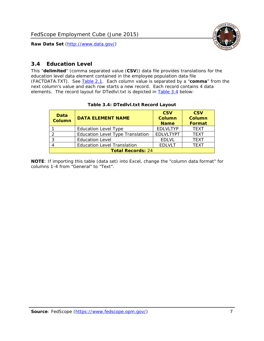

#### <span id="page-7-0"></span>*3.4 Education Level*

<span id="page-7-2"></span><span id="page-7-1"></span>This "**delimited**" (comma separated value (**CSV**)) data file provides translations for the education level data element contained in the employee population data file (FACTDATA.TXT). See [Table 2.1](#page-4-1). Each column value is separated by a "**comma**" from the next column's value and each row starts a new record. Each record contains 4 data elements. The record layout for DTedlvl.txt is depicted in [Table 3.4](#page-7-2) below:

| Data<br><b>Column</b>    | <b>DATA ELEMENT NAME</b>                | <b>CSV</b><br><b>Column</b><br><b>Name</b> | <b>CSV</b><br><b>Column</b><br><b>Format</b> |
|--------------------------|-----------------------------------------|--------------------------------------------|----------------------------------------------|
|                          | <b>Education Level Type</b>             | <b>EDLVLTYP</b>                            | <b>TEXT</b>                                  |
|                          | <b>Education Level Type Translation</b> | <b>EDLVLTYPT</b>                           | <b>TEXT</b>                                  |
|                          | <b>Education Level</b>                  | <b>EDLVL</b>                               | <b>TEXT</b>                                  |
|                          | <b>Education Level Translation</b>      | <b>EDLVLT</b>                              | <b>TEXT</b>                                  |
| <b>Total Records: 24</b> |                                         |                                            |                                              |

#### **Table 3.4: DTedlvl.txt Record Layout**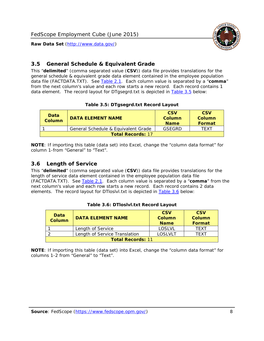

#### <span id="page-8-0"></span>*3.5 General Schedule & Equivalent Grade*

This "**delimited**" (comma separated value (**CSV**)) data file provides translations for the general schedule & equivalent grade data element contained in the employee population data file (FACTDATA.TXT). See [Table 2.1](#page-4-1). Each column value is separated by a "**comma**" from the next column's value and each row starts a new record. Each record contains 1 data element. The record layout for DTgsegrd.txt is depicted in [Table 3.5](#page-8-4) below:

#### **Table 3.5: DTgsegrd.txt Record Layout**

<span id="page-8-4"></span><span id="page-8-2"></span>

| Data<br><b>Column</b>    | DATA FI FMFNT NAMF                  | <b>CSV</b><br>Column<br><b>Name</b> | <b>CSV</b><br>Column<br>Format |
|--------------------------|-------------------------------------|-------------------------------------|--------------------------------|
|                          | General Schedule & Equivalent Grade | GSEGRD                              | TFXT                           |
| <b>Total Records: 17</b> |                                     |                                     |                                |

**NOTE**: If importing this table (data set) into Excel, change the "column data format" for column 1-from "General" to "Text".

#### <span id="page-8-1"></span>*3.6 Length of Service*

<span id="page-8-5"></span><span id="page-8-3"></span>This "**delimited**" (comma separated value (**CSV**)) data file provides translations for the length of service data element contained in the employee population data file (FACTDATA.TXT). See [Table 2.1](#page-4-1). Each column value is separated by a "**comma**" from the next column's value and each row starts a new record. Each record contains 2 data elements. The record layout for DTloslvl.txt is depicted in [Table 3.6](#page-8-5) below:

| Data<br><b>Column</b>    | <b>DATA ELEMENT NAME</b>      | <b>CSV</b><br><b>Column</b><br><b>Name</b> | <b>CSV</b><br>Column<br>Format |
|--------------------------|-------------------------------|--------------------------------------------|--------------------------------|
|                          | Length of Service             | LOSLVL                                     | TFXT                           |
|                          | Length of Service Translation | LOSI VLT                                   | TFXT                           |
| <b>Total Records: 11</b> |                               |                                            |                                |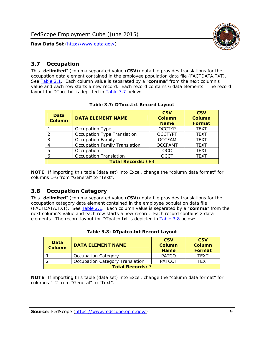

#### <span id="page-9-0"></span>*3.7 Occupation*

<span id="page-9-4"></span>This "**delimited**" (comma separated value (**CSV**)) data file provides translations for the occupation data element contained in the employee population data file (FACTDATA.TXT). See [Table 2.1](#page-4-1). Each column value is separated by a "**comma**" from the next column's value and each row starts a new record. Each record contains 6 data elements. The record layout for DTocc.txt is depicted in [Table 3.7](#page-9-4) below:

<span id="page-9-2"></span>

| Data<br><b>Column</b>     | <b>DATA ELEMENT NAME</b>      | <b>CSV</b><br>Column<br><b>Name</b> | <b>CSV</b><br><b>Column</b><br><b>Format</b> |
|---------------------------|-------------------------------|-------------------------------------|----------------------------------------------|
|                           | Occupation Type               | <b>OCCTYP</b>                       | <b>TEXT</b>                                  |
|                           | Occupation Type Translation   | <b>OCCTYPT</b>                      | <b>TEXT</b>                                  |
| 3                         | <b>Occupation Family</b>      | <b>OCCFAM</b>                       | <b>TEXT</b>                                  |
|                           | Occupation Family Translation | <b>OCCFAMT</b>                      | <b>TEXT</b>                                  |
| 5                         | Occupation                    | <b>OCC</b>                          | <b>TEXT</b>                                  |
|                           | <b>Occupation Translation</b> | <b>OCCT</b>                         | <b>TEXT</b>                                  |
| <b>Total Records: 683</b> |                               |                                     |                                              |

#### **Table 3.7: DTocc.txt Record Layout**

**NOTE**: If importing this table (data set) into Excel, change the "column data format" for columns 1-6 from "General" to "Text".

#### <span id="page-9-1"></span>*3.8 Occupation Category*

<span id="page-9-5"></span>This "**delimited**" (comma separated value (**CSV**)) data file provides translations for the occupation category data element contained in the employee population data file (FACTDATA.TXT). See [Table 2.1](#page-4-1). Each column value is separated by a "**comma**" from the next column's value and each row starts a new record. Each record contains 2 data elements. The record layout for DTpatco.txt is depicted in [Table 3.8](#page-9-5) below:

<span id="page-9-3"></span>

| Data<br><b>Column</b>   | <b>DATA ELEMENT NAME</b>        | <b>CSV</b><br>Column<br><b>Name</b> | <b>CSV</b><br>Column<br>Format |  |
|-------------------------|---------------------------------|-------------------------------------|--------------------------------|--|
|                         | <b>Occupation Category</b>      | <b>PATCO</b>                        | <b>TFXT</b>                    |  |
|                         | Occupation Category Translation | <b>PATCOT</b>                       | TFXT                           |  |
| <b>Total Records: 7</b> |                                 |                                     |                                |  |

|  |  | Table 3.8: DTpatco.txt Record Layout |  |  |
|--|--|--------------------------------------|--|--|
|--|--|--------------------------------------|--|--|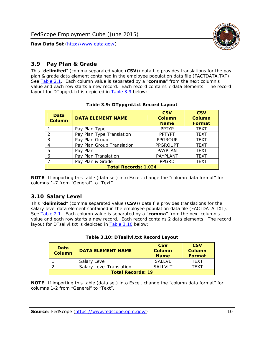

### <span id="page-10-0"></span>*3.9 Pay Plan & Grade*

<span id="page-10-4"></span>This "**delimited**" (comma separated value (**CSV**)) data file provides translations for the pay plan & grade data element contained in the employee population data file (FACTDATA.TXT). See [Table 2.1](#page-4-1). Each column value is separated by a "**comma**" from the next column's value and each row starts a new record. Each record contains 7 data elements. The record layout for DTppgrd.txt is depicted in **Table 3.9** below:

<span id="page-10-2"></span>

| Data<br>Column              | <b>DATA ELEMENT NAME</b>   | <b>CSV</b><br>Column<br><b>Name</b> | <b>CSV</b><br>Column<br><b>Format</b> |
|-----------------------------|----------------------------|-------------------------------------|---------------------------------------|
|                             | Pay Plan Type              | <b>PPTYP</b>                        | <b>TEXT</b>                           |
| $\mathcal{P}$               | Pay Plan Type Translation  | <b>PPTYPT</b>                       | <b>TEXT</b>                           |
| 3                           | Pay Plan Group             | <b>PPGROUP</b>                      | <b>TEXT</b>                           |
|                             | Pay Plan Group Translation | <b>PPGROUPT</b>                     | <b>TEXT</b>                           |
| 5                           | Pay Plan                   | <b>PAYPLAN</b>                      | <b>TEXT</b>                           |
| 6                           | Pay Plan Translation       | PAYPLANT                            | <b>TEXT</b>                           |
|                             | Pay Plan & Grade           | <b>PPGRD</b>                        | <b>TEXT</b>                           |
| <b>Total Records: 1,024</b> |                            |                                     |                                       |

#### **Table 3.9: DTppgrd.txt Record Layout**

**NOTE**: If importing this table (data set) into Excel, change the "column data format" for columns 1-7 from "General" to "Text".

# <span id="page-10-1"></span>*3.10 Salary Level*

<span id="page-10-5"></span><span id="page-10-3"></span>This "**delimited**" (comma separated value (**CSV**)) data file provides translations for the salary level data element contained in the employee population data file (FACTDATA.TXT). See [Table 2.1](#page-4-1). Each column value is separated by a "**comma**" from the next column's value and each row starts a new record. Each record contains 2 data elements. The record layout for DTsallvl.txt is depicted in [Table 3.10](#page-10-5) below:

| <b>Data</b><br><b>Column</b> | <b>DATA ELEMENT NAME</b>        | <b>CSV</b><br>Column<br><b>Name</b> | <b>CSV</b><br>Column<br><b>Format</b> |
|------------------------------|---------------------------------|-------------------------------------|---------------------------------------|
|                              | Salary Level                    | <b>SALLVL</b>                       | TFXT                                  |
|                              | <b>Salary Level Translation</b> | SAI I VI T                          | TEXT                                  |
| <b>Total Records: 19</b>     |                                 |                                     |                                       |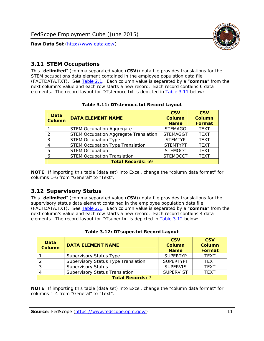

#### <span id="page-11-0"></span>*3.11 STEM Occupations*

<span id="page-11-4"></span>This "**delimited**" (comma separated value (**CSV**)) data file provides translations for the STEM occupations data element contained in the employee population data file (FACTDATA.TXT). See [Table 2.1](#page-4-1). Each column value is separated by a "**comma**" from the next column's value and each row starts a new record. Each record contains 6 data elements. The record layout for DTstemocc.txt is depicted in [Table 3.11](#page-11-4) below:

<span id="page-11-2"></span>

| Data<br><b>Column</b>    | <b>DATA ELEMENT NAME</b>                     | <b>CSV</b><br>Column<br><b>Name</b> | <b>CSV</b><br><b>Column</b><br>Format |
|--------------------------|----------------------------------------------|-------------------------------------|---------------------------------------|
|                          | <b>STEM Occupation Aggregate</b>             | <b>STEMAGG</b>                      | <b>TEXT</b>                           |
|                          | <b>STEM Occupation Aggregate Translation</b> | <b>STEMAGGT</b>                     | <b>TEXT</b>                           |
| 3                        | <b>STEM Occupation Type</b>                  | <b>STEMTYP</b>                      | <b>TEXT</b>                           |
|                          | <b>STEM Occupation Type Translation</b>      | <b>STEMTYPT</b>                     | <b>TEXT</b>                           |
| 5                        | <b>STEM Occupation</b>                       | <b>STEMOCC</b>                      | <b>TEXT</b>                           |
|                          | <b>STEM Occupation Translation</b>           | <b>STEMOCCT</b>                     | <b>TEXT</b>                           |
| <b>Total Records: 69</b> |                                              |                                     |                                       |

#### **Table 3.11: DTstemocc.txt Record Layout**

**NOTE**: If importing this table (data set) into Excel, change the "column data format" for columns 1-6 from "General" to "Text".

# <span id="page-11-1"></span>*3.12 Supervisory Status*

This "**delimited**" (comma separated value (**CSV**)) data file provides translations for the supervisory status data element contained in the employee population data file (FACTDATA.TXT). See [Table 2.1](#page-4-1). Each column value is separated by a "**comma**" from the next column's value and each row starts a new record. Each record contains 4 data elements. The record layout for DTsuper.txt is depicted in [Table 3.12](#page-11-5) below:

<span id="page-11-5"></span><span id="page-11-3"></span>

| Data<br><b>Column</b>   | <b>DATA ELEMENT NAME</b>              | <b>CSV</b><br>Column<br><b>Name</b> | <b>CSV</b><br><b>Column</b><br>Format |
|-------------------------|---------------------------------------|-------------------------------------|---------------------------------------|
|                         | <b>Supervisory Status Type</b>        | <b>SUPFRTYP</b>                     | <b>TEXT</b>                           |
|                         | Supervisory Status Type Translation   | <b>SUPERTYPT</b>                    | <b>TEXT</b>                           |
|                         | <b>Supervisory Status</b>             | <b>SUPERVIS</b>                     | <b>TEXT</b>                           |
|                         | <b>Supervisory Status Translation</b> | <b>SUPERVIST</b>                    | <b>TEXT</b>                           |
| <b>Total Records: 7</b> |                                       |                                     |                                       |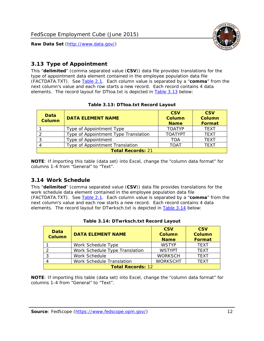

### <span id="page-12-0"></span>*3.13 Type of Appointment*

This "**delimited**" (comma separated value (**CSV**)) data file provides translations for the type of appointment data element contained in the employee population data file (FACTDATA.TXT). See [Table 2.1](#page-4-1). Each column value is separated by a "**comma**" from the next column's value and each row starts a new record. Each record contains 4 data elements. The record layout for DTtoa.txt is depicted in [Table 3.13](#page-12-4) below:

<span id="page-12-4"></span><span id="page-12-2"></span>

| Data<br><b>Column</b>    | <b>DATA ELEMENT NAME</b>             | <b>CSV</b><br><b>Column</b><br><b>Name</b> | <b>CSV</b><br><b>Column</b><br>Format |
|--------------------------|--------------------------------------|--------------------------------------------|---------------------------------------|
|                          | Type of Appointment Type             | <b>TOATYP</b>                              | <b>TEXT</b>                           |
|                          | Type of Appointment Type Translation | <b>TOATYPT</b>                             | <b>TEXT</b>                           |
|                          | Type of Appointment                  | TOA                                        | <b>TEXT</b>                           |
|                          | Type of Appointment Translation      | <b>TOAT</b>                                | <b>TEXT</b>                           |
| <b>Total Records: 21</b> |                                      |                                            |                                       |

#### **Table 3.13: DTtoa.txt Record Layout**

**NOTE**: If importing this table (data set) into Excel, change the "column data format" for columns 1-4 from "General" to "Text".

#### <span id="page-12-1"></span>*3.14 Work Schedule*

<span id="page-12-5"></span>This "**delimited**" (comma separated value (**CSV**)) data file provides translations for the work schedule data element contained in the employee population data file (FACTDATA.TXT). See [Table 2.1](#page-4-1). Each column value is separated by a "**comma**" from the next column's value and each row starts a new record. Each record contains 4 data elements. The record layout for DTwrksch.txt is depicted in [Table 3.14](#page-12-5) below:

<span id="page-12-3"></span>

| Data<br>Column           | <b>DATA ELEMENT NAME</b>       | <b>CSV</b><br><b>Column</b><br><b>Name</b> | <b>CSV</b><br>Column<br>Format |
|--------------------------|--------------------------------|--------------------------------------------|--------------------------------|
|                          | Work Schedule Type             | <b>WSTYP</b>                               | <b>TEXT</b>                    |
| 2                        | Work Schedule Type Translation | <b>WSTYPT</b>                              | <b>TFXT</b>                    |
| 3                        | Work Schedule                  | <b>WORKSCH</b>                             | <b>TFXT</b>                    |
|                          | Work Schedule Translation      | <b>WORKSCHT</b>                            | <b>TFXT</b>                    |
| <b>Total Records: 12</b> |                                |                                            |                                |

| Table 3.14: DTwrksch.txt Record Layout |
|----------------------------------------|
|----------------------------------------|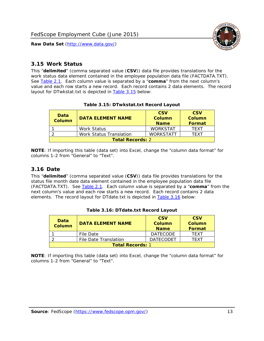

#### <span id="page-13-0"></span>*3.15 Work Status*

<span id="page-13-4"></span><span id="page-13-2"></span>This "**delimited**" (comma separated value (**CSV**)) data file provides translations for the work status data element contained in the employee population data file (FACTDATA.TXT). See [Table 2.1](#page-4-1). Each column value is separated by a "**comma**" from the next column's value and each row starts a new record. Each record contains 2 data elements. The record layout for DTwkstat.txt is depicted in [Table 3.15](#page-13-4) below:

| Data<br><b>Column</b>   | <b>DATA ELEMENT NAME</b> | <b>CSV</b><br>Column<br><b>Name</b> | <b>CSV</b><br>Column<br><b>Format</b> |
|-------------------------|--------------------------|-------------------------------------|---------------------------------------|
|                         | Work Status              | <b>WORKSTAT</b>                     | TFXT                                  |
|                         | Work Status Translation  | <b>WORKSTATT</b>                    | TFXT                                  |
| <b>Total Records: 2</b> |                          |                                     |                                       |

#### **Table 3.15: DTwkstat.txt Record Layout**

**NOTE**: If importing this table (data set) into Excel, change the "column data format" for columns 1-2 from "General" to "Text".

#### <span id="page-13-1"></span>*3.16 Date*

<span id="page-13-5"></span><span id="page-13-3"></span>This "**delimited**" (comma separated value (**CSV**)) data file provides translations for the status file month date data element contained in the employee population data file (FACTDATA.TXT). See [Table 2.1](#page-4-1). Each column value is separated by a "**comma**" from the next column's value and each row starts a new record. Each record contains 2 data elements. The record layout for DTdate.txt is depicted in [Table 3.16](#page-13-5) below:

| Data<br><b>Column</b>   | <b>DATA ELEMENT NAME</b> | <b>CSV</b><br>Column<br><b>Name</b> | <b>CSV</b><br>Column<br><b>Format</b> |
|-------------------------|--------------------------|-------------------------------------|---------------------------------------|
|                         | File Date                | <b>DATECODE</b>                     | TFXT                                  |
|                         | File Date Translation    | <b>DATECODET</b>                    | TFXT                                  |
| <b>Total Records: 1</b> |                          |                                     |                                       |

**Table 3.16: DTdate.txt Record Layout**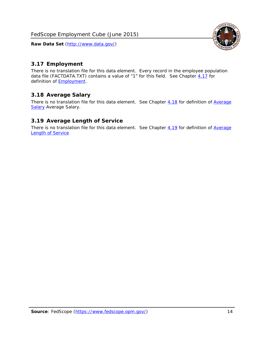<span id="page-14-0"></span>

There is no translation file for this data element. Every record in the employee population data file (FACTDATA.TXT) contains a value of "1" for this field. See Chapter  $4.17$  for definition of **Employment**.

#### <span id="page-14-1"></span>*3.18 Average Salary*

There is no translation file for this data element. See Chapter [4.18](#page-17-1) for definition of [Average](#page-17-1) **[Salary](#page-17-1) [Average Salary.](#page-17-1)** 

#### <span id="page-14-2"></span>*3.19 Average Length of Service*

There is no translation file for this data element. See Chapter [4.19](#page-17-2) for definition of [Average](#page-17-2) Length of Service

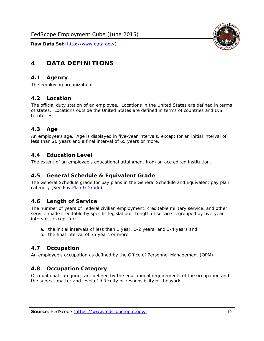

# <span id="page-15-0"></span>**4 DATA DEFINITIONS**

#### <span id="page-15-1"></span>*4.1 Agency*

The employing organization.

# <span id="page-15-2"></span>*4.2 Location*

The official duty station of an employee. Locations in the United States are defined in terms of states. Locations outside the United States are defined in terms of countries and U.S. territories.

#### <span id="page-15-3"></span>*4.3 Age*

An employee's age. Age is displayed in five-year intervals, except for an initial interval of less than 20 years and a final interval of 65 years or more.

#### <span id="page-15-4"></span>*4.4 Education Level*

The extent of an employee's educational attainment from an accredited institution.

#### <span id="page-15-5"></span>*4.5 General Schedule & Equivalent Grade*

The General Schedule grade for pay plans in the General Schedule and Equivalent pay plan category (See [Pay Plan & Grade](#page-16-0)).

#### <span id="page-15-6"></span>*4.6 Length of Service*

The number of years of Federal civilian employment, creditable military service, and other service made creditable by specific legislation. Length of service is grouped by five-year intervals, except for:

- a. the initial intervals of less than 1 year, 1-2 years, and 3-4 years and
- b. the final interval of 35 years or more.

# <span id="page-15-7"></span>*4.7 Occupation*

An employee's occupation as defined by the Office of Personnel Management (OPM).

#### <span id="page-15-8"></span>*4.8 Occupation Category*

Occupational categories are defined by the educational requirements of the occupation and the subject matter and level of difficulty or responsibility of the work.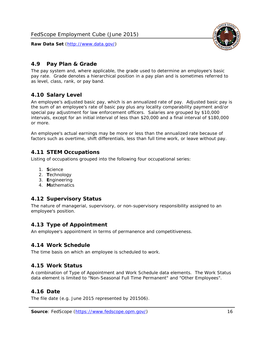

### <span id="page-16-0"></span>*4.9 Pay Plan & Grade*

The pay system and, where applicable, the grade used to determine an employee's basic pay rate. Grade denotes a hierarchical position in a pay plan and is sometimes referred to as level, class, rank, or pay band.

# <span id="page-16-1"></span>*4.10 Salary Level*

An employee's adjusted basic pay, which is an annualized rate of pay. Adjusted basic pay is the sum of an employee's rate of basic pay plus any locality comparability payment and/or special pay adjustment for law enforcement officers. Salaries are grouped by \$10,000 intervals, except for an initial interval of less than \$20,000 and a final interval of \$180,000 or more.

An employee's actual earnings may be more or less than the annualized rate because of factors such as overtime, shift differentials, less than full time work, or leave without pay.

#### <span id="page-16-2"></span>*4.11 STEM Occupations*

Listing of occupations grouped into the following four occupational series:

- 1. **S**cience
- 2. **T**echnology
- 3. **E**ngineering
- 4. **M**athematics

#### <span id="page-16-3"></span>*4.12 Supervisory Status*

The nature of managerial, supervisory, or non-supervisory responsibility assigned to an employee's position.

#### <span id="page-16-4"></span>*4.13 Type of Appointment*

An employee's appointment in terms of permanence and competitiveness.

#### <span id="page-16-5"></span>*4.14 Work Schedule*

The time basis on which an employee is scheduled to work.

#### <span id="page-16-6"></span>*4.15 Work Status*

A combination of Type of Appointment and Work Schedule data elements. The Work Status data element is limited to "Non-Seasonal Full Time Permanent" and "Other Employees".

#### <span id="page-16-7"></span>*4.16 Date*

<span id="page-16-8"></span>The file date (e.g. June 2015 represented by 201506).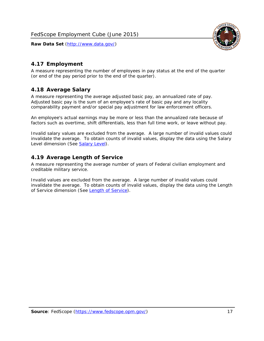

# <span id="page-17-0"></span>*4.17 Employment*

A measure representing the number of employees in pay status at the end of the quarter (or end of the pay period prior to the end of the quarter).

#### <span id="page-17-1"></span>*4.18 Average Salary*

A measure representing the average adjusted basic pay, an annualized rate of pay. Adjusted basic pay is the sum of an employee's rate of basic pay and any locality comparability payment and/or special pay adjustment for law enforcement officers.

An employee's actual earnings may be more or less than the annualized rate because of factors such as overtime, shift differentials, less than full time work, or leave without pay.

Invalid salary values are excluded from the average. A large number of invalid values could invalidate the average. To obtain counts of invalid values, display the data using the Salary Level dimension (See [Salary Level\)](#page-16-1).

#### <span id="page-17-2"></span>*4.19 Average Length of Service*

A measure representing the average number of years of Federal civilian employment and creditable military service.

Invalid values are excluded from the average. A large number of invalid values could invalidate the average. To obtain counts of invalid values, display the data using the Length of Service dimension (See [Length of Service](#page-15-6)).